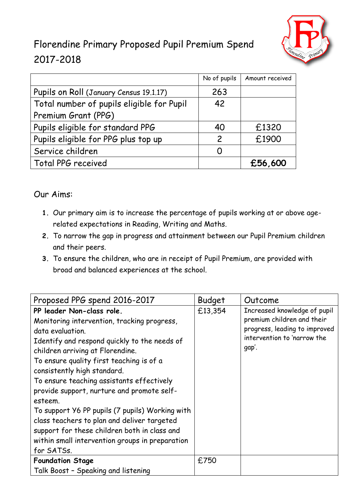

## Florendine Primary Proposed Pupil Premium Spend 2017-2018

|                                           | No of pupils  | Amount received |
|-------------------------------------------|---------------|-----------------|
| Pupils on Roll (January Census 19.1.17)   | 263           |                 |
| Total number of pupils eligible for Pupil | 42            |                 |
| Premium Grant (PPG)                       |               |                 |
| Pupils eligible for standard PPG          | 40            | £1320           |
| Pupils eligible for PPG plus top up       | $\mathcal{P}$ | £1900           |
| Service children                          |               |                 |
| Total PPG received                        |               | £56,600         |

## Our Aims:

- **1.** Our primary aim is to increase the percentage of pupils working at or above agerelated expectations in Reading, Writing and Maths.
- **2.** To narrow the gap in progress and attainment between our Pupil Premium children and their peers.
- **3.** To ensure the children, who are in receipt of Pupil Premium, are provided with broad and balanced experiences at the school.

| Budget  | Outcome                                                                                                                             |
|---------|-------------------------------------------------------------------------------------------------------------------------------------|
| £13,354 | Increased knowledge of pupil<br>premium children and their<br>progress, leading to improved<br>intervention to 'narrow the<br>gap'. |
| £750    |                                                                                                                                     |
|         |                                                                                                                                     |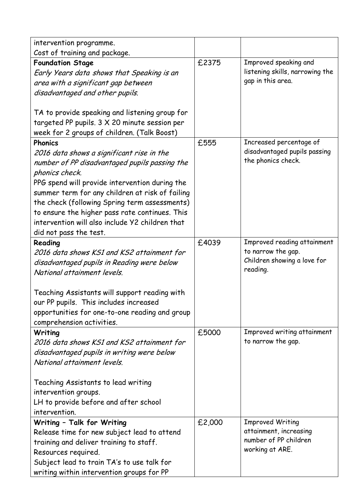| intervention programme.                                           |        |                                         |
|-------------------------------------------------------------------|--------|-----------------------------------------|
| Cost of training and package.                                     |        |                                         |
| <b>Foundation Stage</b>                                           | £2375  | Improved speaking and                   |
| Early Years data shows that Speaking is an                        |        | listening skills, narrowing the         |
| area with a significant gap between                               |        | gap in this area.                       |
| disadvantaged and other pupils.                                   |        |                                         |
|                                                                   |        |                                         |
| TA to provide speaking and listening group for                    |        |                                         |
| targeted PP pupils. 3 X 20 minute session per                     |        |                                         |
| week for 2 groups of children. (Talk Boost)                       |        |                                         |
| <b>Phonics</b>                                                    | £555   | Increased percentage of                 |
| 2016 data shows a significant rise in the                         |        | disadvantaged pupils passing            |
| number of PP disadvantaged pupils passing the                     |        | the phonics check.                      |
| phonics check.                                                    |        |                                         |
| PPG spend will provide intervention during the                    |        |                                         |
| summer term for any children at risk of failing                   |        |                                         |
| the check (following Spring term assessments)                     |        |                                         |
| to ensure the higher pass rate continues. This                    |        |                                         |
| intervention will also include Y2 children that                   |        |                                         |
| did not pass the test.                                            |        |                                         |
| Reading                                                           | £4039  | Improved reading attainment             |
| 2016 data shows KS1 and KS2 attainment for                        |        | to narrow the gap.                      |
| disadvantaged pupils in Reading were below                        |        | Children showing a love for<br>reading. |
| National attainment levels.                                       |        |                                         |
|                                                                   |        |                                         |
| Teaching Assistants will support reading with                     |        |                                         |
| our PP pupils. This includes increased                            |        |                                         |
| opportunities for one-to-one reading and group                    |        |                                         |
| comprehension activities.                                         |        |                                         |
| Writing                                                           | £5000  | Improved writing attainment             |
| 2016 data shows KS1 and KS2 attainment for                        |        | to narrow the gap.                      |
| disadvantaged pupils in writing were below                        |        |                                         |
| National attainment levels.                                       |        |                                         |
|                                                                   |        |                                         |
| Teaching Assistants to lead writing                               |        |                                         |
| intervention groups.                                              |        |                                         |
| LH to provide before and after school<br>intervention.            |        |                                         |
|                                                                   | £2,000 | <b>Improved Writing</b>                 |
| Writing - Talk for Writing                                        |        | attainment, increasing                  |
| Release time for new subject lead to attend                       |        | number of PP children                   |
| training and deliver training to staff.                           |        | working at ARE.                         |
| Resources required.<br>Subject lead to train TA's to use talk for |        |                                         |
|                                                                   |        |                                         |
|                                                                   |        |                                         |